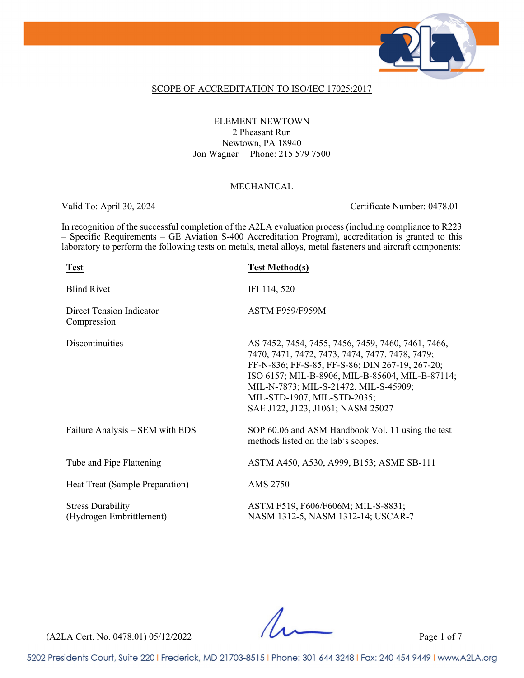

#### SCOPE OF ACCREDITATION TO ISO/IEC 17025:2017

#### ELEMENT NEWTOWN 2 Pheasant Run Newtown, PA 18940 Jon Wagner Phone: 215 579 7500

#### MECHANICAL

Valid To: April 30, 2024 Certificate Number: 0478.01

In recognition of the successful completion of the A2LA evaluation process (including compliance to R223 – Specific Requirements – GE Aviation S-400 Accreditation Program), accreditation is granted to this laboratory to perform the following tests on metals, metal alloys, metal fasteners and aircraft components:

| <b>Test</b>                                          | <b>Test Method(s)</b>                                                                                                                                                                                                                                                                                                    |
|------------------------------------------------------|--------------------------------------------------------------------------------------------------------------------------------------------------------------------------------------------------------------------------------------------------------------------------------------------------------------------------|
| <b>Blind Rivet</b>                                   | IFI 114, 520                                                                                                                                                                                                                                                                                                             |
| Direct Tension Indicator<br>Compression              | ASTM F959/F959M                                                                                                                                                                                                                                                                                                          |
| Discontinuities                                      | AS 7452, 7454, 7455, 7456, 7459, 7460, 7461, 7466,<br>7470, 7471, 7472, 7473, 7474, 7477, 7478, 7479;<br>FF-N-836; FF-S-85, FF-S-86; DIN 267-19, 267-20;<br>ISO 6157; MIL-B-8906, MIL-B-85604, MIL-B-87114;<br>MIL-N-7873; MIL-S-21472, MIL-S-45909;<br>MIL-STD-1907, MIL-STD-2035;<br>SAE J122, J123, J1061; NASM 25027 |
| Failure Analysis – SEM with EDS                      | SOP 60.06 and ASM Handbook Vol. 11 using the test<br>methods listed on the lab's scopes.                                                                                                                                                                                                                                 |
| Tube and Pipe Flattening                             | ASTM A450, A530, A999, B153; ASME SB-111                                                                                                                                                                                                                                                                                 |
| Heat Treat (Sample Preparation)                      | AMS 2750                                                                                                                                                                                                                                                                                                                 |
| <b>Stress Durability</b><br>(Hydrogen Embrittlement) | ASTM F519, F606/F606M; MIL-S-8831;<br>NASM 1312-5, NASM 1312-14; USCAR-7                                                                                                                                                                                                                                                 |

(A2LA Cert. No. 0478.01) 05/12/2022 Page 1 of 7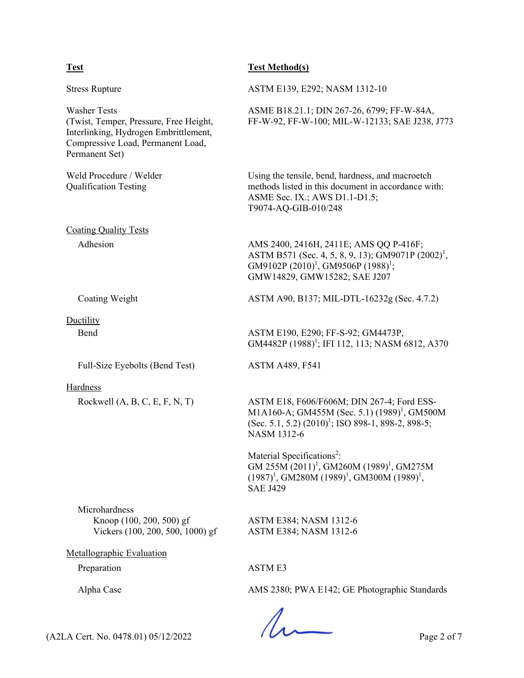### **Test Test Method(s)**

| <b>Stress Rupture</b>                                                                                                                                         | ASTM E139, E292; NASM 1312-10                                                                                                                                                          |  |
|---------------------------------------------------------------------------------------------------------------------------------------------------------------|----------------------------------------------------------------------------------------------------------------------------------------------------------------------------------------|--|
| <b>Washer Tests</b><br>(Twist, Temper, Pressure, Free Height,<br>Interlinking, Hydrogen Embrittlement,<br>Compressive Load, Permanent Load,<br>Permanent Set) | ASME B18.21.1; DIN 267-26, 6799; FF-W-84A,<br>FF-W-92, FF-W-100; MIL-W-12133; SAE J238, J773                                                                                           |  |
| Weld Procedure / Welder<br><b>Qualification Testing</b>                                                                                                       | Using the tensile, bend, hardness, and macroetch<br>methods listed in this document in accordance with:<br>ASME Sec. IX.; AWS D1.1-D1.5;<br>T9074-AQ-GIB-010/248                       |  |
| <b>Coating Quality Tests</b>                                                                                                                                  |                                                                                                                                                                                        |  |
| Adhesion                                                                                                                                                      | AMS 2400, 2416H, 2411E; AMS QQ P-416F;<br>ASTM B571 (Sec. 4, 5, 8, 9, 13); GM9071P (2002) <sup>1</sup> ,<br>GM9102P $(2010)^1$ , GM9506P $(1988)^1$ ;<br>GMW14829, GMW15282; SAE J207  |  |
| Coating Weight                                                                                                                                                | ASTM A90, B137; MIL-DTL-16232g (Sec. 4.7.2)                                                                                                                                            |  |
| Ductility                                                                                                                                                     |                                                                                                                                                                                        |  |
| Bend                                                                                                                                                          | ASTM E190, E290; FF-S-92; GM4473P,<br>GM4482P (1988) <sup>1</sup> ; IFI 112, 113; NASM 6812, A370                                                                                      |  |
| Full-Size Eyebolts (Bend Test)                                                                                                                                | <b>ASTM A489, F541</b>                                                                                                                                                                 |  |
| Hardness                                                                                                                                                      |                                                                                                                                                                                        |  |
| Rockwell $(A, B, C, E, F, N, T)$                                                                                                                              | ASTM E18, F606/F606M; DIN 267-4; Ford ESS-<br>M1A160-A; GM455M (Sec. 5.1) (1989) <sup>1</sup> , GM500M<br>(Sec. 5.1, 5.2) $(2010)^1$ ; ISO 898-1, 898-2, 898-5;<br><b>NASM 1312-6</b>  |  |
|                                                                                                                                                               | Material Specifications <sup>2</sup> :<br>GM 255M (2011) <sup>1</sup> , GM260M (1989) <sup>1</sup> , GM275M<br>$(1987)^1$ , GM280M $(1989)^1$ , GM300M $(1989)^1$ ,<br><b>SAE J429</b> |  |
| Microhardness<br>Knoop (100, 200, 500) gf<br>Vickers (100, 200, 500, 1000) gf                                                                                 | ASTM E384; NASM 1312-6<br>ASTM E384; NASM 1312-6                                                                                                                                       |  |
| Metallographic Evaluation                                                                                                                                     |                                                                                                                                                                                        |  |
| Preparation                                                                                                                                                   | <b>ASTM E3</b>                                                                                                                                                                         |  |
| Alpha Case                                                                                                                                                    | AMS 2380; PWA E142; GE Photographic Standards                                                                                                                                          |  |
|                                                                                                                                                               |                                                                                                                                                                                        |  |

 $(A2LA$  Cert. No. 0478.01) 05/12/2022 Page 2 of 7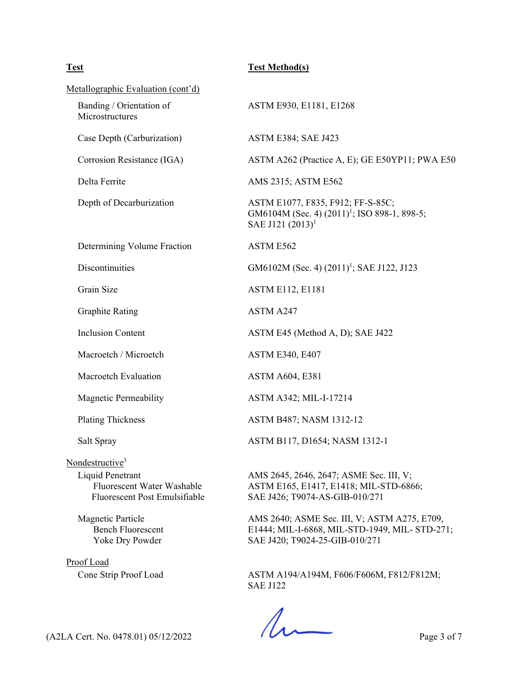### **Test Test Method(s)**

| Metallographic Evaluation (cont'd)                                              |                                                                                                                                 |  |
|---------------------------------------------------------------------------------|---------------------------------------------------------------------------------------------------------------------------------|--|
| Banding / Orientation of<br>Microstructures                                     | ASTM E930, E1181, E1268                                                                                                         |  |
| Case Depth (Carburization)                                                      | <b>ASTM E384; SAE J423</b>                                                                                                      |  |
| Corrosion Resistance (IGA)                                                      | ASTM A262 (Practice A, E); GE E50YP11; PWA E50                                                                                  |  |
| Delta Ferrite                                                                   | AMS 2315; ASTM E562                                                                                                             |  |
| Depth of Decarburization                                                        | ASTM E1077, F835, F912; FF-S-85C;<br>GM6104M (Sec. 4) (2011) <sup>1</sup> ; ISO 898-1, 898-5;<br>SAE J121 $(2013)^1$            |  |
| Determining Volume Fraction                                                     | ASTM E562                                                                                                                       |  |
| Discontinuities                                                                 | GM6102M (Sec. 4) (2011) <sup>1</sup> ; SAE J122, J123                                                                           |  |
| Grain Size                                                                      | <b>ASTM E112, E1181</b>                                                                                                         |  |
| <b>Graphite Rating</b>                                                          | ASTM A247                                                                                                                       |  |
| <b>Inclusion Content</b>                                                        | ASTM E45 (Method A, D); SAE J422                                                                                                |  |
| Macroetch / Microetch                                                           | <b>ASTM E340, E407</b>                                                                                                          |  |
| <b>Macroetch Evaluation</b>                                                     | <b>ASTM A604, E381</b>                                                                                                          |  |
| <b>Magnetic Permeability</b>                                                    | ASTM A342; MIL-I-17214                                                                                                          |  |
| <b>Plating Thickness</b>                                                        | ASTM B487; NASM 1312-12                                                                                                         |  |
| Salt Spray                                                                      | ASTM B117, D1654; NASM 1312-1                                                                                                   |  |
| Nondestructive <sup>3</sup>                                                     |                                                                                                                                 |  |
| Liquid Penetrant<br>Fluorescent Water Washable<br>Fluorescent Post Emulsifiable | AMS 2645, 2646, 2647; ASME Sec. III, V;<br>ASTM E165, E1417, E1418; MIL-STD-6866;<br>SAE J426; T9074-AS-GIB-010/271             |  |
| Magnetic Particle<br><b>Bench Fluorescent</b><br>Yoke Dry Powder                | AMS 2640; ASME Sec. III, V; ASTM A275, E709,<br>E1444; MIL-I-6868, MIL-STD-1949, MIL-STD-271;<br>SAE J420; T9024-25-GIB-010/271 |  |
| Proof Load                                                                      |                                                                                                                                 |  |
| Cone Strip Proof Load                                                           | ASTM A194/A194M, F606/F606M, F812/F812M;<br><b>SAE J122</b>                                                                     |  |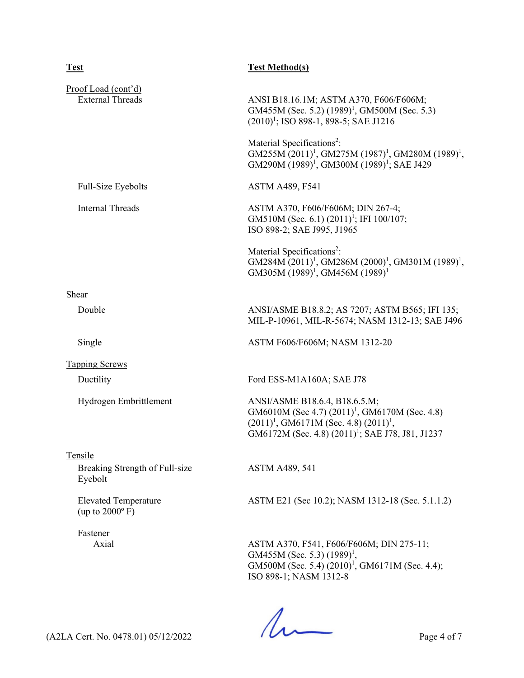| <b>Test</b>                                             | <b>Test Method(s)</b>                                                                                                                                                                              |  |
|---------------------------------------------------------|----------------------------------------------------------------------------------------------------------------------------------------------------------------------------------------------------|--|
| Proof Load (cont'd)<br><b>External Threads</b>          | ANSI B18.16.1M; ASTM A370, F606/F606M;<br>GM455M (Sec. 5.2) $(1989)^1$ , GM500M (Sec. 5.3)<br>$(2010)^1$ ; ISO 898-1, 898-5; SAE J1216                                                             |  |
|                                                         | Material Specifications <sup>2</sup> :<br>$GM255M(2011)^1$ , GM275M $(1987)^1$ , GM280M $(1989)^1$ ,<br>GM290M (1989) <sup>1</sup> , GM300M (1989) <sup>1</sup> ; SAE J429                         |  |
| Full-Size Eyebolts                                      | <b>ASTM A489, F541</b>                                                                                                                                                                             |  |
| <b>Internal Threads</b>                                 | ASTM A370, F606/F606M; DIN 267-4;<br>GM510M (Sec. 6.1) $(2011)^1$ ; IFI 100/107;<br>ISO 898-2; SAE J995, J1965                                                                                     |  |
|                                                         | Material Specifications <sup>2</sup> :<br>GM284M (2011) <sup>1</sup> , GM286M (2000) <sup>1</sup> , GM301M (1989) <sup>1</sup> ,<br>GM305M (1989) <sup>1</sup> , GM456M (1989) <sup>1</sup>        |  |
| Shear                                                   |                                                                                                                                                                                                    |  |
| Double                                                  | ANSI/ASME B18.8.2; AS 7207; ASTM B565; IFI 135;<br>MIL-P-10961, MIL-R-5674; NASM 1312-13; SAE J496                                                                                                 |  |
| Single                                                  | ASTM F606/F606M; NASM 1312-20                                                                                                                                                                      |  |
| <b>Tapping Screws</b>                                   |                                                                                                                                                                                                    |  |
| Ductility                                               | Ford ESS-M1A160A; SAE J78                                                                                                                                                                          |  |
| Hydrogen Embrittlement                                  | ANSI/ASME B18.6.4, B18.6.5.M;<br>GM6010M (Sec 4.7) $(2011)^1$ , GM6170M (Sec. 4.8)<br>$(2011)^1$ , GM6171M (Sec. 4.8) $(2011)^1$ ,<br>GM6172M (Sec. 4.8) (2011) <sup>1</sup> ; SAE J78, J81, J1237 |  |
| Tensile                                                 |                                                                                                                                                                                                    |  |
| Breaking Strength of Full-size<br>Eyebolt               | <b>ASTM A489, 541</b>                                                                                                                                                                              |  |
| <b>Elevated Temperature</b><br>(up to $2000^{\circ}$ F) | ASTM E21 (Sec 10.2); NASM 1312-18 (Sec. 5.1.1.2)                                                                                                                                                   |  |
| Fastener<br>Axial                                       | ASTM A370, F541, F606/F606M; DIN 275-11;<br>GM455M (Sec. 5.3) $(1989)^1$ ,<br>GM500M (Sec. 5.4) (2010) <sup>1</sup> , GM6171M (Sec. 4.4);<br>ISO 898-1; NASM 1312-8                                |  |

 $(122A \text{ Cert. No. 0478.01}) 05/12/2022$  Page 4 of 7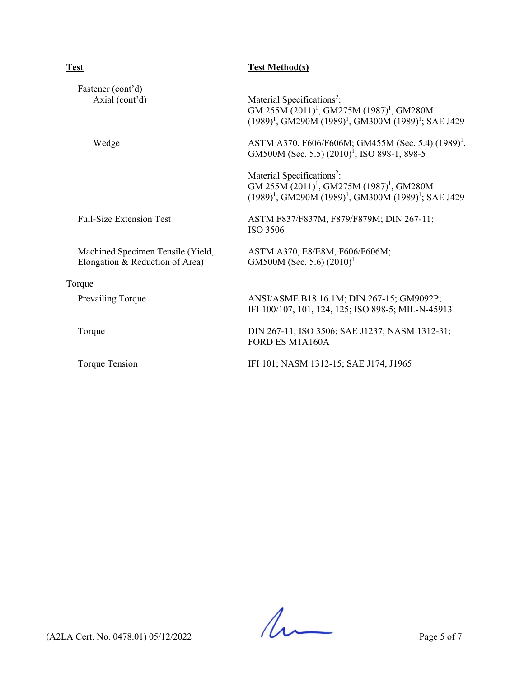| Test                                                                 | <b>Test Method(s)</b>                                                                                                                                                        |
|----------------------------------------------------------------------|------------------------------------------------------------------------------------------------------------------------------------------------------------------------------|
| Fastener (cont'd)<br>Axial (cont'd)                                  | Material Specifications <sup>2</sup> :<br>GM 255M (2011) <sup>1</sup> , GM275M (1987) <sup>1</sup> , GM280M<br>$(1989)^1$ , GM290M $(1989)^1$ , GM300M $(1989)^1$ ; SAE J429 |
| Wedge                                                                | ASTM A370, F606/F606M; GM455M (Sec. 5.4) (1989) <sup>1</sup> ,<br>GM500M (Sec. 5.5) (2010) <sup>1</sup> ; ISO 898-1, 898-5                                                   |
|                                                                      | Material Specifications <sup>2</sup> :<br>GM 255M (2011) <sup>1</sup> , GM275M (1987) <sup>1</sup> , GM280M<br>$(1989)^1$ , GM290M $(1989)^1$ , GM300M $(1989)^1$ ; SAE J429 |
| <b>Full-Size Extension Test</b>                                      | ASTM F837/F837M, F879/F879M; DIN 267-11;<br>ISO 3506                                                                                                                         |
| Machined Specimen Tensile (Yield,<br>Elongation & Reduction of Area) | ASTM A370, E8/E8M, F606/F606M;<br>GM500M (Sec. 5.6) $(2010)^1$                                                                                                               |
| T <u>orque</u>                                                       |                                                                                                                                                                              |
| Prevailing Torque                                                    | ANSI/ASME B18.16.1M; DIN 267-15; GM9092P;<br>IFI 100/107, 101, 124, 125; ISO 898-5; MIL-N-45913                                                                              |
| Torque                                                               | DIN 267-11; ISO 3506; SAE J1237; NASM 1312-31;<br>FORD ES M1A160A                                                                                                            |
| Torque Tension                                                       | IFI 101; NASM 1312-15; SAE J174, J1965                                                                                                                                       |
|                                                                      |                                                                                                                                                                              |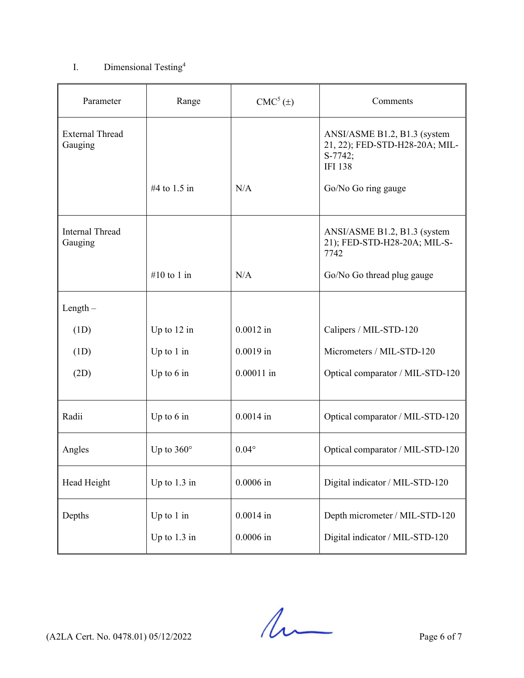## I. Dimensional Testing<sup>4</sup>

| Parameter                         | Range                          | $CMC5(\pm)$                | Comments                                                                                    |
|-----------------------------------|--------------------------------|----------------------------|---------------------------------------------------------------------------------------------|
| <b>External Thread</b><br>Gauging |                                |                            | ANSI/ASME B1.2, B1.3 (system<br>21, 22); FED-STD-H28-20A; MIL-<br>S-7742;<br><b>IFI 138</b> |
|                                   | #4 to 1.5 in                   | N/A                        | Go/No Go ring gauge                                                                         |
| <b>Internal Thread</b><br>Gauging |                                |                            | ANSI/ASME B1.2, B1.3 (system<br>21); FED-STD-H28-20A; MIL-S-<br>7742                        |
|                                   | #10 to 1 in                    | N/A                        | Go/No Go thread plug gauge                                                                  |
| $Length -$                        |                                |                            |                                                                                             |
| (1D)                              | Up to $12$ in                  | $0.0012$ in                | Calipers / MIL-STD-120                                                                      |
| (1D)                              | Up to $1$ in                   | $0.0019$ in                | Micrometers / MIL-STD-120                                                                   |
| (2D)                              | Up to $6$ in                   | $0.00011$ in               | Optical comparator / MIL-STD-120                                                            |
| Radii                             | Up to $6$ in                   | $0.0014$ in                | Optical comparator / MIL-STD-120                                                            |
| Angles                            | Up to $360^\circ$              | $0.04^\circ$               | Optical comparator / MIL-STD-120                                                            |
| Head Height                       | Up to $1.3$ in                 | $0.0006$ in                | Digital indicator / MIL-STD-120                                                             |
| Depths                            | Up to $1$ in<br>Up to $1.3$ in | $0.0014$ in<br>$0.0006$ in | Depth micrometer / MIL-STD-120<br>Digital indicator / MIL-STD-120                           |

 $(122A$  Cert. No. 0478.01) 05/12/2022 Page 6 of 7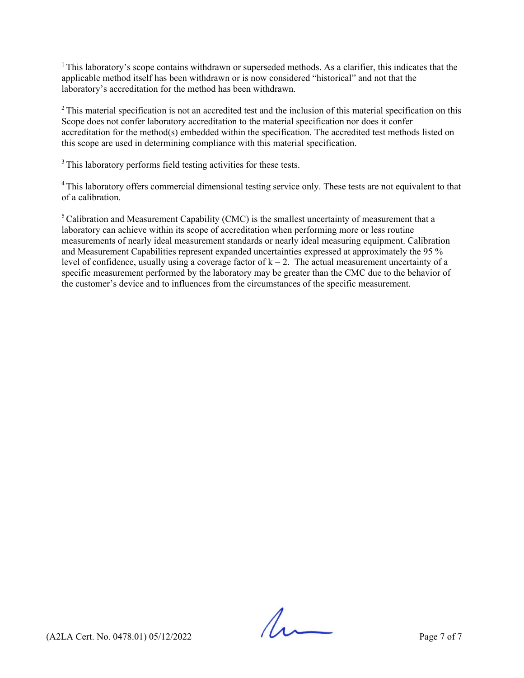$1$  This laboratory's scope contains withdrawn or superseded methods. As a clarifier, this indicates that the applicable method itself has been withdrawn or is now considered "historical" and not that the laboratory's accreditation for the method has been withdrawn.

 $2$ This material specification is not an accredited test and the inclusion of this material specification on this Scope does not confer laboratory accreditation to the material specification nor does it confer accreditation for the method(s) embedded within the specification. The accredited test methods listed on this scope are used in determining compliance with this material specification.

<sup>3</sup> This laboratory performs field testing activities for these tests.

<sup>4</sup> This laboratory offers commercial dimensional testing service only. These tests are not equivalent to that of a calibration.

 $<sup>5</sup>$  Calibration and Measurement Capability (CMC) is the smallest uncertainty of measurement that a</sup> laboratory can achieve within its scope of accreditation when performing more or less routine measurements of nearly ideal measurement standards or nearly ideal measuring equipment. Calibration and Measurement Capabilities represent expanded uncertainties expressed at approximately the 95 % level of confidence, usually using a coverage factor of  $k = 2$ . The actual measurement uncertainty of a specific measurement performed by the laboratory may be greater than the CMC due to the behavior of the customer's device and to influences from the circumstances of the specific measurement.